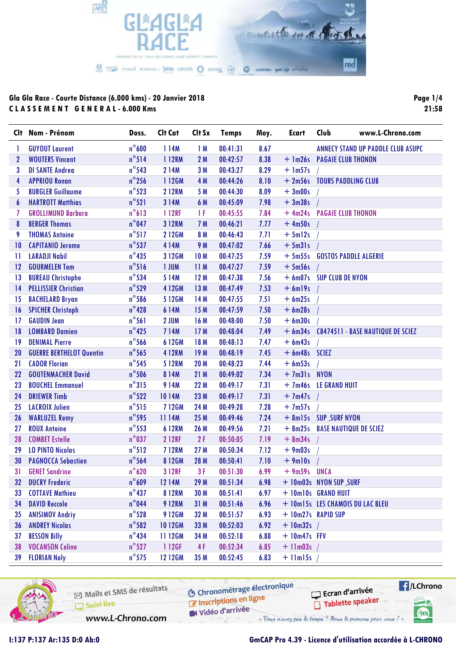

| Clt | Nom - Prénom                    | Doss.           | Clt Cat      | Clt Sx          | <b>Temps</b> | Moy. | Ecart           | Club<br>www.L-Chrono.com                  |
|-----|---------------------------------|-----------------|--------------|-----------------|--------------|------|-----------------|-------------------------------------------|
| 1   | <b>GUYOUT Laurent</b>           | $n^{\circ}600$  | 114M         | 1M              | 00:41:31     | 8.67 |                 | ANNECY STAND UP PADDLE CLUB ASUPC         |
| 2   | <b>WOUTERS Vincent</b>          | $n^{\circ}514$  | 112RM        | 2M              | 00:42:57     | 8.38 | $+$ 1m26s       | <b>PAGAIE CLUB THONON</b>                 |
| 3   | <b>DI SANTE Andrea</b>          | $n^{\circ}$ 543 | 214M         | 3M              | 00:43:27     | 8.29 | $+$ 1m57s       |                                           |
| 4   | <b>APPRIOU Ronan</b>            | $n^{\circ}$ 256 | 112GM        | 4 M             | 00:44:26     | 8.10 |                 | + 2m56s TOURS PADDLING CLUB               |
| 5   | <b>BURGLER Guillaume</b>        | $n^{\circ}523$  | <b>212RM</b> | 5 M             | 00:44:30     | 8.09 | $+3m00s$        |                                           |
| 6   | <b>HARTROTT Matthias</b>        | $n^{\circ}521$  | 314M         | 6 M             | 00:45:09     | 7.98 | $+3m38s$        |                                           |
| 7   | <b>GROLLIMUND Barbara</b>       | $n^{\circ}613$  | 112RF        | 1 F             | 00:45:55     | 7.84 |                 | + 4m24s PAGAIE CLUB THONON                |
| 8   | <b>BERGER Thomas</b>            | $n^{\circ}$ 047 | 312RM        | 7 M             | 00:46:21     | 7.77 | $+4m50s$        |                                           |
| 9   | <b>THOMAS Antoine</b>           | $n^{\circ}517$  | 212GM        | 8 M             | 00:46:43     | 7.71 | $+5m12s$        |                                           |
| 10  | <b>CAPITANIO Jerome</b>         | $n^{\circ}$ 537 | 414M         | 9 M             | 00:47:02     | 7.66 | $+5m31s$        |                                           |
| П   | <b>LARADJI Nabil</b>            | $n^{\circ}435$  | 312GM        | 10 <sub>M</sub> | 00:47:25     | 7.59 | $+5m55s$        | <b>GOSTOS PADDLE ALGERIE</b>              |
| 12  | <b>GOURMELEN Tom</b>            | $n^{\circ}516$  | 1 JUM        | 11M             | 00:47:27     | 7.59 | $+5m56s$        |                                           |
| 13  | <b>BUREAU Christophe</b>        | $n^{\circ}$ 534 | 514M         | 12M             | 00:47:38     | 7.56 |                 | + 6m07s SUP CLUB DE NYON                  |
| 14  | <b>PELLISSIER Christian</b>     | $n^{\circ}$ 529 | 412GM        | 13 M            | 00:47:49     | 7.53 | $+ 6$ m $19s$   |                                           |
| 15  | <b>BACHELARD Bryan</b>          | $n^{\circ}$ 586 | 512GM        | 14M             | 00:47:55     | 7.51 | $+ 6m25s$       |                                           |
| 16  | <b>SPICHER Christoph</b>        | $n^{\circ}428$  | 614M         | 15 M            | 00:47:59     | 7.50 | $+6m28s$        |                                           |
| 17  | <b>GAUDIN Jean</b>              | $n^{\circ}$ 561 | 2 JUM        | 16 M            | 00:48:00     | 7.50 | $+6m30s$        |                                           |
| 18  | <b>LOMBARD Damien</b>           | $n^{\circ}$ 425 | 714M         | 17M             | 00:48:04     | 7.49 |                 | + 6m34s C8474511 - BASE NAUTIQUE DE SCIEZ |
| 19  | <b>DENIMAL Pierre</b>           | $n^{\circ}$ 566 | 612GM        | 18 M            | 00:48:13     | 7.47 | $+ 6m43s$       |                                           |
| 20  | <b>GUERRE BERTHELOT Quentin</b> | $n^{\circ}$ 565 | <b>412RM</b> | 19 M            | 00:48:19     | 7.45 | $+ 6m48s$ SCIEZ |                                           |
| 21  | <b>CADOR Florian</b>            | $n^{\circ}$ 545 | 512RM        | <b>20 M</b>     | 00:48:23     | 7.44 | $+6m53s$        |                                           |
| 22  | <b>GOUTENMACHER David</b>       | $n^{\circ}$ 506 | 814M         | 21 M            | 00:49:02     | 7.34 | $+ 7m31s$ NYON  |                                           |
| 23  | <b>BOUCHEL Emmanuel</b>         | $n^{\circ}315$  | 914M         | 22 M            | 00:49:17     | 7.31 |                 | + 7m46s LE GRAND HUIT                     |
| 24  | <b>DRIEWER Timb</b>             | $n^{\circ}522$  | <b>1014M</b> | 23 M            | 00:49:17     | 7.31 | $+7m47s$        |                                           |
| 25  | <b>LACROIX Julien</b>           | $n^{\circ}515$  | 712GM        | 24 M            | 00:49:28     | 7.28 | $+7m57s$        |                                           |
| 26  | <b>WARLUZEL Remy</b>            | $n^{\circ}$ 595 | 1114M        | 25 M            | 00:49:46     | 7.24 |                 | + 8m15s SUP_SURF NYON                     |
| 27  | <b>ROUX Antoine</b>             | $n^{\circ}$ 553 | <b>612RM</b> | 26 M            | 00:49:56     | 7.21 | $+ 8m25s$       | <b>BASE NAUTIQUE DE SCIEZ</b>             |
| 28  | <b>COMBET Estelle</b>           | $n^{\circ}$ 037 | 212RF        | 2F              | 00:50:05     | 7.19 | $+ 8m34s$       |                                           |
| 29  | <b>LO PINTO Nicolas</b>         | $n^{\circ}512$  | <b>712RM</b> | 27 M            | 00:50:34     | 7.12 | $+9m03s$        |                                           |
| 30  | <b>PAGNOCCA Sebastien</b>       | $n^{\circ}$ 564 | 812GM        | 28 M            | 00:50:41     | 7.10 | $+9$ ml $0s$    |                                           |
| 31  | <b>GENET Sandrine</b>           | $n^{\circ}$ 620 | 312RF        | 3F              | 00:51:30     | 6.99 | $+9m59s$ UNCA   |                                           |
| 32  | <b>DUCRY Frederic</b>           | $n^{\circ}609$  | 1214M        | 29 M            | 00:51:34     | 6.98 |                 | + 10m03s NYON SUP_SURF                    |
| 33  | <b>COTTAVE Mathieu</b>          | $n^{\circ}$ 437 | <b>812RM</b> | 30 M            | 00:51:41     | 6.97 |                 | + 10m10s GRAND HUIT                       |
| 34  | <b>DAVID Reccole</b>            | $n^{\circ}$ 044 | <b>912RM</b> | 31 M            | 00:51:46     | 6.96 |                 | + 10m15s LES CHAMOIS DU LAC BLEU          |
| 35  | <b>ANISIMOV Andriy</b>          | $n^{\circ}$ 528 | 912GM        | 32 M            | 00:51:57     | 6.93 |                 | + 10m27s RAPID SUP                        |
| 36  | <b>ANDREY Nicolas</b>           | $n^{\circ}$ 582 | 1012GM       | 33 M            | 00:52:03     | 6.92 | $+$ 10m32s /    |                                           |
| 37  | <b>BESSON Billy</b>             | $n^{\circ}$ 434 | 1112GM       | 34 M            | 00:52:18     | 6.88 | $+$ 10m47s FFV  |                                           |
| 38  | <b>VOCANSON Celine</b>          | $n^{\circ}$ 527 | 112GF        | 4F              | 00:52:34     | 6.85 | $+$ 11 $m$ 03s  |                                           |
| 39  | <b>FLORIAN Noly</b>             | $n^{\circ}$ 575 | 1212GM       | 35 M            | 00:52:45     | 6.83 | $+$ 11m15s      |                                           |



| Mails et SMS de résultats | <b>Chronométrage électronique</b> | $\Box$ Ecran d'arrivée                                   |
|---------------------------|-----------------------------------|----------------------------------------------------------|
| Suivi live                | Inscriptions en ligne             | Tablette speaker                                         |
| www.L-Chrono.com          | <b>M</b> Vidéo d'arrivée          | « Vous n'avez pas le temps ? Nous le prenons pour vous ! |

### **I:137 P:137 Ar:135 D:0 Ab:0 GmCAP Pro 4.39 - Licence d'utilisation accordée à L-CHRONO**

**A**/LChrono

ues of

SHA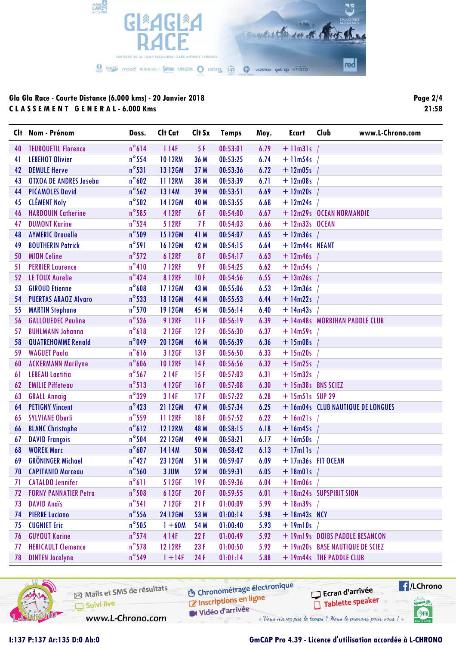

| Clt | Nom - Prénom                  | Doss.           | Clt Cat        | Clt Sx | <b>Temps</b> | Moy. | <b>Ecart</b>       | Club<br>www.L-Chrono.com          |
|-----|-------------------------------|-----------------|----------------|--------|--------------|------|--------------------|-----------------------------------|
| 40  | <b>TEURQUETIL Florence</b>    | $n^{\circ}614$  | 114F           | 5F     | 00:53:01     | 6.79 | $+$ 11m31s         |                                   |
| 41  | <b>LEBEHOT Olivier</b>        | $n^{\circ}$ 554 | <b>1012RM</b>  | 36 M   | 00:53:25     | 6.74 | $+$ 11m54s         |                                   |
| 42  | <b>DEMULE Herve</b>           | $n^{\circ}531$  | 1312GM         | 37 M   | 00:53:36     | 6.72 | $+ 12m05s$         |                                   |
| 43  | <b>OTXOA DE ANDRES Joseba</b> | $n^{\circ}602$  | 1112RM         | 38 M   | 00:53:39     | 6.71 | $+ 12 \text{m08s}$ |                                   |
| 44  | <b>PICAMOLES David</b>        | $n^{\circ}$ 562 | 1314M          | 39 M   | 00:53:51     | 6.69 | $+ 12m20s$         |                                   |
| 45  | <b>CLÉMENT Noly</b>           | $n^{\circ}$ 502 | 1412GM         | 40 M   | 00:53:55     | 6.68 | $+ 12m24s$         |                                   |
| 46  | <b>HARDOUIN Catherine</b>     | $n^{\circ}$ 585 | 412RF          | 6 F    | 00:54:00     | 6.67 |                    | + 12m29s OCEAN NORMANDIE          |
| 47  | <b>DUMONT Karine</b>          | $n^{\circ}$ 524 | 512RF          | 7 F    | 00:54:03     | 6.66 | $+ 12m33s$ OCEAN   |                                   |
| 48  | <b>AYMERIC Drouelle</b>       | $n^{\circ}$ 509 | 1512GM         | 41 M   | 00:54:07     | 6.65 | $+ 12m36s$         |                                   |
| 49  | <b>BOUTHERIN Patrick</b>      | $n^{\circ}$ 591 | 1612GM         | 42 M   | 00:54:15     | 6.64 | + 12m44s NEANT     |                                   |
| 50  | <b>MION Celine</b>            | $n^{\circ}572$  | 6 12RF         | 8F     | 00:54:17     | 6.63 | $+ 12m46s$         |                                   |
| 51  | <b>PERRIER Laurence</b>       | $n^{\circ}410$  | <b>712RF</b>   | 9 F    | 00:54:25     | 6.62 | $+ 12m54s$         |                                   |
| 52  | <b>LE TOUX Aurelie</b>        | $n^{\circ}424$  | 812RF          | 10F    | 00:54:56     | 6.55 | $+ 13m26s$         |                                   |
| 53  | <b>GIROUD Etienne</b>         | $n^{\circ}608$  | 1712GM         | 43 M   | 00:55:06     | 6.53 | $+ 13m36s$         |                                   |
| 54  | <b>PUERTAS ARAOZ Alvaro</b>   | $n^{\circ}$ 533 | 1812GM         | 44 M   | 00:55:53     | 6.44 | $+14m22s$          |                                   |
| 55  | <b>MARTIN Stephane</b>        | $n^{\circ}$ 570 | 1912GM         | 45 M   | 00:56:14     | 6.40 | $+ 14m43s$         |                                   |
| 56  | <b>GALLOUEDEC Pauline</b>     | $n^{\circ}$ 526 | <b>912RF</b>   | 11F    | 00:56:19     | 6.39 |                    | + 14m48s MORBIHAN PADDLE CLUB     |
| 57  | <b>BUHLMANN Johanna</b>       | $n^{\circ}618$  | 212GF          | 12F    | 00:56:30     | 6.37 | $+14m59s$          |                                   |
| 58  | <b>QUATREHOMME Renald</b>     | $n^{\circ}$ 049 | 2012GM         | 46 M   | 00:56:39     | 6.36 | $+ 15m08s$         |                                   |
| 59  | <b>WAGUET Paola</b>           | $n^{\circ}616$  | 312GF          | 13F    | 00:56:50     | 6.33 | $+15m20s$          |                                   |
| 60  | <b>ACKERMANN Marilyne</b>     | $n^{\circ}606$  | <b>1012RF</b>  | 14F    | 00:56:56     | 6.32 | $+ 15m25s$         |                                   |
| 61  | <b>LEBEAU Laetitia</b>        | $n^{\circ}$ 567 | 214F           | 15F    | 00:57:03     | 6.31 | $+ 15m32s$         |                                   |
| 62  | <b>EMILIE Piffeteau</b>       | $n^{\circ}513$  | 412GF          | 16F    | 00:57:08     | 6.30 | + 15m38s BNS SCIEZ |                                   |
| 63  | <b>GRALL Annaig</b>           | $n^{\circ}329$  | 314F           | 17F    | 00:57:22     | 6.28 | $+ 15m51s$ SUP 29  |                                   |
| 64  | <b>PETIGNY Vincent</b>        | $n^{\circ}423$  | 2112GM         | 47 M   | 00:57:34     | 6.25 |                    | + 16m04s CLUB NAUTIQUE DE LONGUES |
| 65  | <b>SYLVIANE Oberli</b>        | $n^{\circ}$ 559 | 1112RF         | 18F    | 00:57:52     | 6.22 | $+$ 16m21s         |                                   |
| 66  | <b>BLANC Christophe</b>       | $n^{\circ}612$  | <b>1212RM</b>  | 48 M   | 00:58:15     | 6.18 | $+$ 16m45s         |                                   |
| 67  | <b>DAVID François</b>         | $n^{\circ}$ 504 | 2212GM         | 49 M   | 00:58:21     | 6.17 | $+ 16m50s$         |                                   |
| 68  | <b>WOREK Marc</b>             | $n^{\circ}607$  | 1414M          | 50 M   | 00:58:42     | 6.13 | $+17$ mlls         |                                   |
| 69  | <b>GRÖNINGER Michael</b>      | $n^{\circ}427$  | 2312GM         | 51 M   | 00:59:07     | 6.09 | +17m36s FIT OCEAN  |                                   |
| 70  | <b>CAPITANIO Marceau</b>      | $n^{\circ}$ 560 | 3 JUM          | 52 M   | 00:59:31     | 6.05 | $+$ 18m01s /       |                                   |
| 71  | <b>CATALDO Jennifer</b>       | $n^{\circ}611$  | 512GF          | 19F    | 00:59:36     | 6.04 | $+ 18m06s$         |                                   |
| 72  | <b>FORNY PANNATIER Petra</b>  | $n^{\circ}$ 508 | 6 12GF         | 20F    | 00:59:55     | 6.01 |                    | + 18m24s SUPSPIRIT SION           |
| 73  | <b>DAVID Andis</b>            | $n^{\circ}541$  | 712GF          | 21F    | 01:00:09     | 5.99 | $+ 18m39s$         |                                   |
| 74  | <b>PIERRE Luciano</b>         | $n^{\circ}$ 556 | 24 12GM        | 53 M   | 01:00:14     | 5.98 | $+ 18m43s$ NCY     |                                   |
| 75  | <b>CUGNIET Eric</b>           | $n^{\circ}$ 505 | $1 + 60M$      | 54 M   | 01:00:40     | 5.93 | $+19$ m $10s$      |                                   |
| 76  | <b>GUYOUT Karine</b>          | $n^{\circ}$ 574 | 414F           | 22F    | 01:00:49     | 5.92 |                    | + 19m19s DOIBS PADDLE BESANCON    |
| 77  | <b>HERICAULT Clemence</b>     | $n^{\circ}$ 578 | <b>12 12RF</b> | 23F    | 01:00:50     | 5.92 |                    | + 19m20s BASE NAUTIQUE DE SCIEZ   |
| 78  | <b>DINTEN Jocelyne</b>        | $n^{\circ}$ 549 | $1 + 14F$      | 24 F   | 01:01:14     | 5.88 |                    | + 19m44s THE PADDLE CLUB          |



| Mails et SMS de résultats | <b>O</b> Chronométrage électronique | $\Box$ Ecran d'arrivée                                  |
|---------------------------|-------------------------------------|---------------------------------------------------------|
| Suivi live                | Inscriptions en ligne               | Tablette speaker                                        |
| www.L-Chrono.com          | <b>M</b> Vidéo d'arrivée            | « Vous n'avez pas le temps ? Nous le prenons pour vous! |



### **I:137 P:137 Ar:135 D:0 Ab:0 GmCAP Pro 4.39 - Licence d'utilisation accordée à L-CHRONO**

 $\sqrt{\frac{1}{2}}$ /LChrono

mei ()

SHA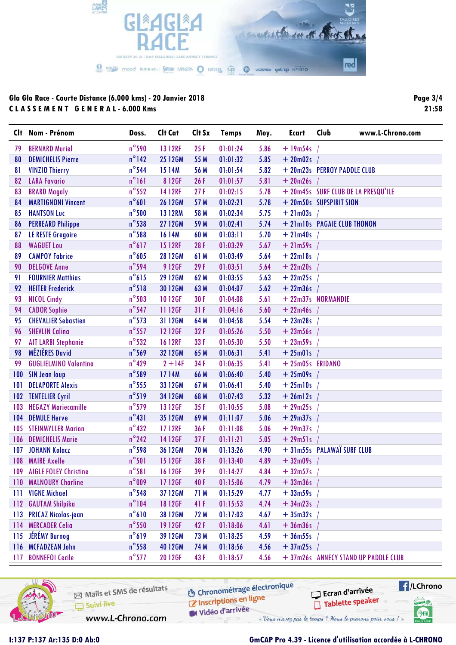

|     | Clt Nom - Prénom             | Doss.           | Clt Cat        | Clt Sx | <b>Temps</b> | Moy. | <b>Ecart</b>     | Club<br>www.L-Chrono.com             |
|-----|------------------------------|-----------------|----------------|--------|--------------|------|------------------|--------------------------------------|
| 79  | <b>BERNARD Muriel</b>        | $n^{\circ}$ 590 | 1312RF         | 25F    | 01:01:24     | 5.86 | $+19m54s$        |                                      |
| 80  | <b>DEMICHELIS Pierre</b>     | $n^{\circ}$ 142 | 2512GM         | 55 M   | 01:01:32     | 5.85 | $+20m02s$        |                                      |
| 81  | <b>VINZIO Thierry</b>        | $n^{\circ}$ 544 | 1514M          | 56 M   | 01:01:54     | 5.82 |                  | + 20m23s PERROY PADDLE CLUB          |
| 82  | <b>LARA Favario</b>          | $n^{\circ}161$  | 812GF          | 26F    | 01:01:57     | 5.81 | $+20m26s$        |                                      |
| 83  | <b>BRARD Magaly</b>          | $n^{\circ}$ 552 | 1412RF         | 27F    | 01:02:15     | 5.78 |                  | + 20m45s SURF CLUB DE LA PRESQU'ILE  |
| 84  | <b>MARTIGNONI Vincent</b>    | $n^{\circ}601$  | 26 12GM        | 57 M   | 01:02:21     | 5.78 |                  | + 20m50s SUPSPIRIT SION              |
| 85  | <b>HANTSON Luc</b>           | $n^{\circ}$ 500 | <b>1312RM</b>  | 58 M   | 01:02:34     | 5.75 | $+21m03s$        |                                      |
| 86  | <b>PERREARD Philippe</b>     | $n^{\circ}$ 538 | 2712GM         | 59 M   | 01:02:41     | 5.74 |                  | + 21m10s PAGAIE CLUB THONON          |
| 87  | <b>LE RESTE Gregoire</b>     | $n^{\circ}$ 588 | 1614M          | 60 M   | 01:03:11     | 5.70 | $+21m40s$        |                                      |
| 88  | <b>WAGUET Lou</b>            | $n^{\circ}617$  | <b>1512RF</b>  | 28F    | 01:03:29     | 5.67 | $+21m59s$        |                                      |
| 89  | <b>CAMPOY Fabrice</b>        | $n^{\circ}605$  | 2812GM         | 61 M   | 01:03:49     | 5.64 | $+22$ ml8s       |                                      |
| 90  | <b>DELGOVE Anne</b>          | $n^{\circ}$ 594 | 912GF          | 29F    | 01:03:51     | 5.64 | $+22m20s$        |                                      |
| 91  | <b>FOURNIER Matthias</b>     | $n^{\circ}615$  | 2912GM         | 62 M   | 01:03:55     | 5.63 | $+22m25s$        |                                      |
| 92  | <b>HEITER Frederick</b>      | $n^{\circ}518$  | 3012GM         | 63 M   | 01:04:07     | 5.62 | $+22m36s$        |                                      |
| 93  | <b>NICOL Cindy</b>           | $n^{\circ}$ 503 | 1012GF         | 30F    | 01:04:08     | 5.61 |                  | + 22m37s NORMANDIE                   |
| 94  | <b>CADOR Sophie</b>          | $n^{\circ}$ 547 | 1112GF         | 31F    | 01:04:16     | 5.60 | $+22m46s$        |                                      |
| 95  | <b>CHEVALIER Sebastien</b>   | $n^{\circ}$ 573 | 31 12GM        | 64 M   | 01:04:58     | 5.54 | $+23m28s$        |                                      |
| 96  | <b>SHEVLIN Calina</b>        | $n^{\circ}$ 557 | 1212GF         | 32F    | 01:05:26     | 5.50 | $+23m56s$        |                                      |
| 97  | <b>AIT LARBI Stephanie</b>   | $n^{\circ}$ 532 | <b>16 12RF</b> | 33F    | 01:05:30     | 5.50 | $+23m59s$        |                                      |
| 98  | <b>MÉZIÈRES David</b>        | $n^{\circ}$ 569 | 3212GM         | 65 M   | 01:06:31     | 5.41 | $+25m01s$        |                                      |
| 99  | <b>GUGLIELMINO Valentina</b> | $n^{\circ}429$  | $2 + 14F$      | 34F    | 01:06:35     | 5.41 | + 25m05s ERIDANO |                                      |
| 100 | <b>SIN Jean loup</b>         | $n^{\circ}$ 589 | 1714M          | 66 M   | 01:06:40     | 5.40 | $+25m09s$        |                                      |
| 101 | <b>DELAPORTE Alexis</b>      | $n^{\circ}$ 555 | 3312GM         | 67 M   | 01:06:41     | 5.40 | $+25$ ml0s       |                                      |
| 102 | <b>TENTELIER Cyril</b>       | $n^{\circ}519$  | 34 12GM        | 68 M   | 01:07:43     | 5.32 | $+26$ ml2s       |                                      |
| 103 | <b>HEGAZY Mariecamille</b>   | $n^{\circ}$ 579 | 1312GF         | 35F    | 01:10:55     | 5.08 | $+29m25s$        |                                      |
| 104 | <b>DEMULE Herve</b>          | $n^{\circ}431$  | 3512GM         | 69 M   | 01:11:07     | 5.06 | $+29m37s$        |                                      |
| 105 | <b>STEINMYLLER Marion</b>    | $n^{\circ}432$  | 1712RF         | 36 F   | 01:11:08     | 5.06 | $+29m37s$        |                                      |
| 106 | <b>DEMICHELIS Marie</b>      | $n^{\circ}$ 242 | 1412GF         | 37F    | 01:11:21     | 5.05 | $+29m51s$        |                                      |
| 107 | <b>JOHANN Kolacz</b>         | $n^{\circ}$ 598 | 3612GM         | 70 M   | 01:13:26     | 4.90 |                  | + 31m55s PALAWAÏ SURF CLUB           |
| 108 | <b>MAIRE Axelle</b>          | $n^{\circ}501$  | 1512GF         | 38F    | 01:13:40     | 4.89 | $+32m09s$        |                                      |
| 109 | <b>AIGLE FOLEY Christine</b> | $n^{\circ}$ 581 | 16 12GF        | 39 F   | 01:14:27     | 4.84 | $+32m57s$        |                                      |
| 110 | <b>MALNOURY Charline</b>     | $n^{\circ}009$  | 1712GF         | 40 F   | 01:15:06     | 4.79 | $+33m36s$        |                                      |
| 111 | <b>VIGNE Michael</b>         | $n^{\circ}$ 548 | 3712GM         | 71 M   | 01:15:29     | 4.77 | $+33m59s$        |                                      |
| 112 | <b>GAUTAM Shilpika</b>       | $n^{\circ}104$  | 1812GF         | 41 F   | 01:15:53     | 4.74 | $+34m23s$        |                                      |
| 113 | <b>PRICAZ Nicolas-jean</b>   | $n^{\circ}610$  | 38 12GM        | 72 M   | 01:17:03     | 4.67 | $+35m32s$        |                                      |
| 114 | <b>MERCADER Celia</b>        | $n^{\circ}$ 550 | 1912GF         | 42 F   | 01:18:06     | 4.61 | $+36m36s$        |                                      |
| 115 | <b>JÉRÉMY Burnog</b>         | $n^{\circ}619$  | 39 12GM        | 73 M   | 01:18:25     | 4.59 | $+36m55s$        |                                      |
| 116 | <b>MCFADZEAN John</b>        | $n^{\circ}$ 558 | 4012GM         | 74 M   | 01:18:56     | 4.56 | $+37m25s$        |                                      |
| 117 | <b>BONNEFOI Cecile</b>       | $n^{\circ}$ 577 | 2012GF         | 43 F   | 01:18:57     | 4.56 |                  | + 37m26s ANNECY STAND UP PADDLE CLUB |



**O Chronométrage électronique** Ecran d'arrivée Chronomediago W Vidéo d'arrivée



trest in

SHA

### **I:137 P:137 Ar:135 D:0 Ab:0 GmCAP Pro 4.39 - Licence d'utilisation accordée à L-CHRONO**